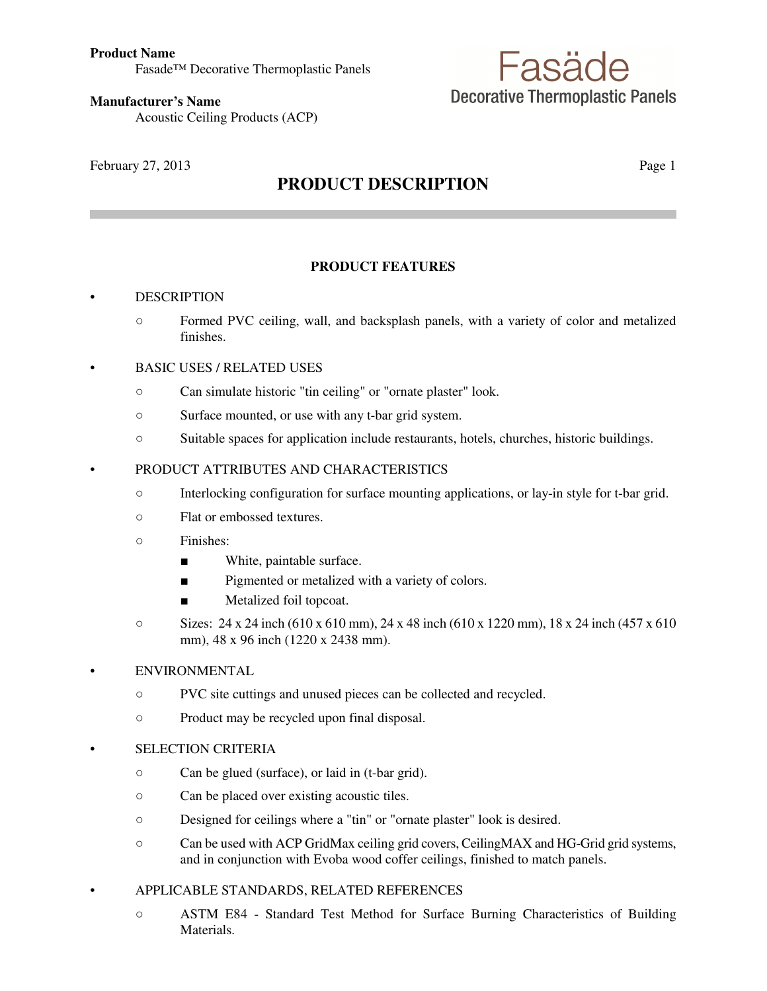# Fasäde **Decorative Thermoplastic Panels**

**Manufacturer's Name** Acoustic Ceiling Products (ACP)

February 27, 2013 Page 1

# **PRODUCT DESCRIPTION**

# **PRODUCT FEATURES**

# **DESCRIPTION**

- Formed PVC ceiling, wall, and backsplash panels, with a variety of color and metalized finishes.
- BASIC USES / RELATED USES
	- Can simulate historic "tin ceiling" or "ornate plaster" look.
	- Surface mounted, or use with any t-bar grid system.
	- Suitable spaces for application include restaurants, hotels, churches, historic buildings.

# • PRODUCT ATTRIBUTES AND CHARACTERISTICS

- Interlocking configuration for surface mounting applications, or lay-in style for t-bar grid.
- Flat or embossed textures.
- Finishes:
	- White, paintable surface.
	- Pigmented or metalized with a variety of colors.
	- Metalized foil topcoat.
- $\degree$  Sizes: 24 x 24 inch (610 x 610 mm), 24 x 48 inch (610 x 1220 mm), 18 x 24 inch (457 x 610 mm), 48 x 96 inch (1220 x 2438 mm).

# **ENVIRONMENTAL**

- PVC site cuttings and unused pieces can be collected and recycled.
- Product may be recycled upon final disposal.

# • SELECTION CRITERIA

- Can be glued (surface), or laid in (t-bar grid).
- Can be placed over existing acoustic tiles.
- Designed for ceilings where a "tin" or "ornate plaster" look is desired.
- Can be used with ACP GridMax ceiling grid covers, CeilingMAX and HG-Grid grid systems, and in conjunction with Evoba wood coffer ceilings, finished to match panels.

# • APPLICABLE STANDARDS, RELATED REFERENCES

○ ASTM E84 - Standard Test Method for Surface Burning Characteristics of Building Materials.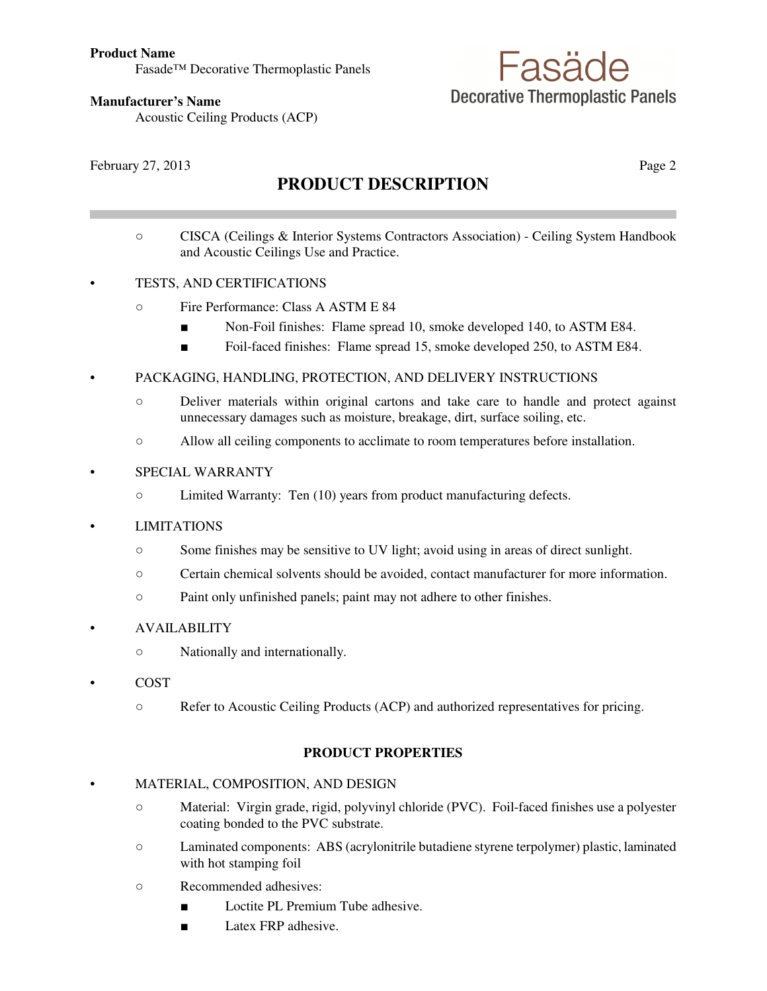Fasade™ Decorative Thermoplastic Panels

# Fasäde **Decorative Thermoplastic Panels**

**Manufacturer's Name**

Acoustic Ceiling Products (ACP)

February 27, 2013 Page 2

# **PRODUCT DESCRIPTION**

○ CISCA (Ceilings & Interior Systems Contractors Association) - Ceiling System Handbook and Acoustic Ceilings Use and Practice.

# • TESTS, AND CERTIFICATIONS

- Fire Performance: Class A ASTM E 84
	- Non-Foil finishes: Flame spread 10, smoke developed 140, to ASTM E84.
	- Foil-faced finishes: Flame spread 15, smoke developed 250, to ASTM E84.
- PACKAGING, HANDLING, PROTECTION, AND DELIVERY INSTRUCTIONS
	- Deliver materials within original cartons and take care to handle and protect against unnecessary damages such as moisture, breakage, dirt, surface soiling, etc.
	- Allow all ceiling components to acclimate to room temperatures before installation.

#### • SPECIAL WARRANTY

○ Limited Warranty: Ten (10) years from product manufacturing defects.

#### • LIMITATIONS

- Some finishes may be sensitive to UV light; avoid using in areas of direct sunlight.
- Certain chemical solvents should be avoided, contact manufacturer for more information.
- Paint only unfinished panels; paint may not adhere to other finishes.

#### • AVAILABILITY

- Nationally and internationally.
- COST
	- Refer to Acoustic Ceiling Products (ACP) and authorized representatives for pricing.

#### **PRODUCT PROPERTIES**

### • MATERIAL, COMPOSITION, AND DESIGN

- Material: Virgin grade, rigid, polyvinyl chloride (PVC). Foil-faced finishes use a polyester coating bonded to the PVC substrate.
- Laminated components: ABS (acrylonitrile butadiene styrene terpolymer) plastic, laminated with hot stamping foil
- Recommended adhesives:
	- Loctite PL Premium Tube adhesive.
	- Latex FRP adhesive.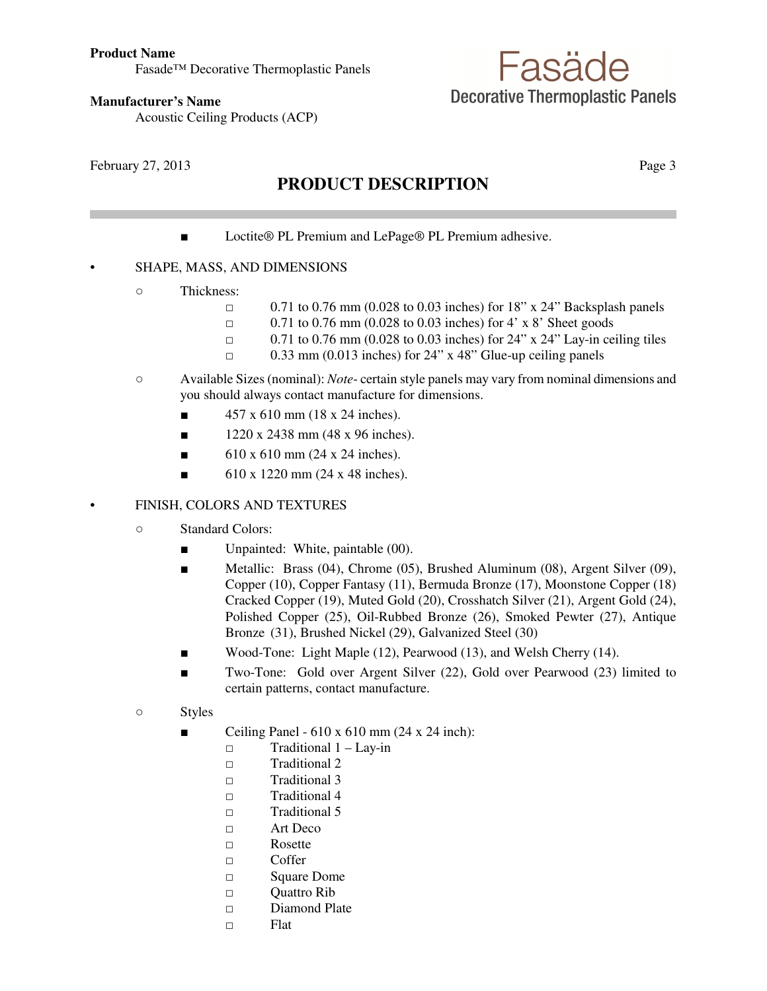Fasade™ Decorative Thermoplastic Panels

# Fasäde **Decorative Thermoplastic Panels**

**Manufacturer's Name**

Acoustic Ceiling Products (ACP)

February 27, 2013 Page 3

# **PRODUCT DESCRIPTION**

■ Loctite<sup>®</sup> PL Premium and LePage<sup>®</sup> PL Premium adhesive.

# • SHAPE, MASS, AND DIMENSIONS

- Thickness:
	- □ 0.71 to 0.76 mm (0.028 to 0.03 inches) for 18" x 24" Backsplash panels
	- $\Box$  0.71 to 0.76 mm (0.028 to 0.03 inches) for 4' x 8' Sheet goods
	- $\Box$  0.71 to 0.76 mm (0.028 to 0.03 inches) for 24" x 24" Lay-in ceiling tiles
	- $\Box$  0.33 mm (0.013 inches) for 24" x 48" Glue-up ceiling panels
- Available Sizes (nominal): *Note* certain style panels may vary from nominal dimensions and you should always contact manufacture for dimensions.
	- $\blacksquare$  457 x 610 mm (18 x 24 inches).
	- $\blacksquare$  1220 x 2438 mm (48 x 96 inches).
	- $\blacksquare$  610 x 610 mm (24 x 24 inches).
	- $\blacksquare$  610 x 1220 mm (24 x 48 inches).

# • FINISH, COLORS AND TEXTURES

- Standard Colors:
	- Unpainted: White, paintable (00).
	- Metallic: Brass (04), Chrome (05), Brushed Aluminum (08), Argent Silver (09), Copper (10), Copper Fantasy (11), Bermuda Bronze (17), Moonstone Copper (18) Cracked Copper (19), Muted Gold (20), Crosshatch Silver (21), Argent Gold (24), Polished Copper (25), Oil-Rubbed Bronze (26), Smoked Pewter (27), Antique Bronze (31), Brushed Nickel (29), Galvanized Steel (30)
	- Wood-Tone: Light Maple (12), Pearwood (13), and Welsh Cherry (14).
	- Two-Tone: Gold over Argent Silver (22), Gold over Pearwood (23) limited to certain patterns, contact manufacture.
- Styles
	- Ceiling Panel  $610 \times 610$  mm (24 x 24 inch):
		- □ Traditional 1 Lay-in
		- □ Traditional 2
		- □ Traditional 3
		- □ Traditional 4
		- □ Traditional 5
		- □ Art Deco
		- □ Rosette
		- □ Coffer
		- □ Square Dome
		- □ Quattro Rib
		- □ Diamond Plate
		- □ Flat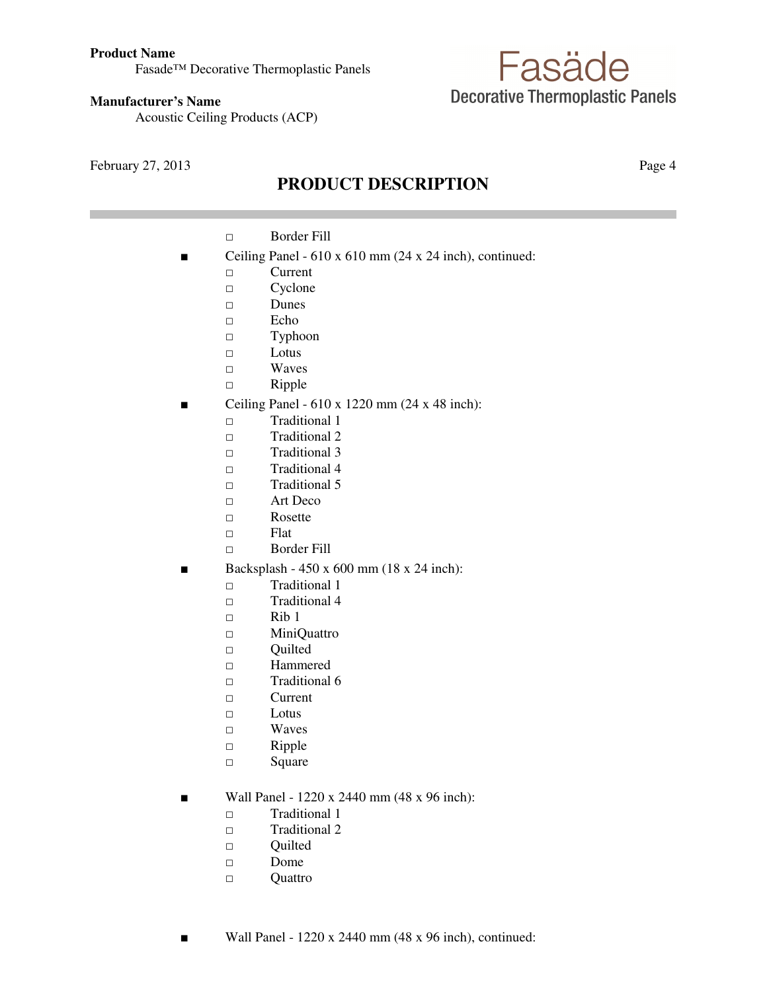#### **Product Name**

Fasade™ Decorative Thermoplastic Panels

#### **Manufacturer's Name**

Acoustic Ceiling Products (ACP)

February 27, 2013 Page 4

# **PRODUCT DESCRIPTION**

Fasäde

**Decorative Thermoplastic Panels** 

- □ Border Fill
- Ceiling Panel 610 x 610 mm (24 x 24 inch), continued:
	- □ Current
	- □ Cyclone
	- □ Dunes
	- □ Echo
	- □ Typhoon
	- □ Lotus
	- □ Waves
	- □ Ripple
- Ceiling Panel  $610 \times 1220$  mm (24 x 48 inch):
	- □ Traditional 1
	- □ Traditional 2
	- □ Traditional 3
	- □ Traditional 4
	- $\Box$  Traditional 5
	- □ Art Deco
	- □ Rosette
	- □ Flat
	- □ Border Fill
- Backsplash 450 x 600 mm (18 x 24 inch):
	- □ Traditional 1
	- □ Traditional 4
	- □ Rib 1
	- □ MiniQuattro
	- □ Quilted
	- □ Hammered
	- □ Traditional 6
	- □ Current
	- □ Lotus
	- □ Waves
	- □ Ripple
	- □ Square
- Wall Panel 1220 x 2440 mm (48 x 96 inch):
	- □ Traditional 1
	- □ Traditional 2
	- □ Quilted
	- □ Dome
	- □ Quattro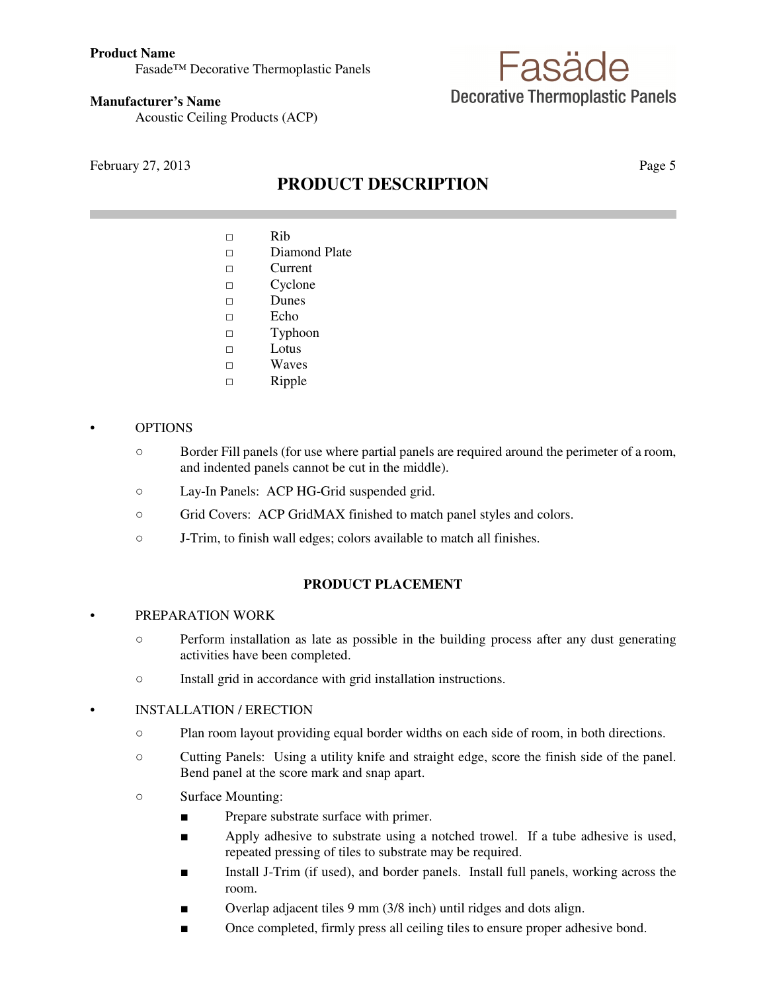#### **Product Name**

Fasade™ Decorative Thermoplastic Panels

#### **Manufacturer's Name**

Acoustic Ceiling Products (ACP)

February 27, 2013 Page 5

# **PRODUCT DESCRIPTION**

Fasäde

**Decorative Thermoplastic Panels** 

- $\Box$  Rib
- □ Diamond Plate
- □ Current
- □ Cyclone
- □ Dunes
- □ Echo
- □ Typhoon
- $\Box$  Lotus
- □ Waves
- □ Ripple

### • OPTIONS

- Border Fill panels (for use where partial panels are required around the perimeter of a room, and indented panels cannot be cut in the middle).
- Lay-In Panels: ACP HG-Grid suspended grid.
- Grid Covers: ACP GridMAX finished to match panel styles and colors.
- J-Trim, to finish wall edges; colors available to match all finishes.

# **PRODUCT PLACEMENT**

#### • PREPARATION WORK

- Perform installation as late as possible in the building process after any dust generating activities have been completed.
- Install grid in accordance with grid installation instructions.

# • INSTALLATION / ERECTION

- Plan room layout providing equal border widths on each side of room, in both directions.
- Cutting Panels: Using a utility knife and straight edge, score the finish side of the panel. Bend panel at the score mark and snap apart.
- Surface Mounting:
	- Prepare substrate surface with primer.
	- Apply adhesive to substrate using a notched trowel. If a tube adhesive is used, repeated pressing of tiles to substrate may be required.
	- Install J-Trim (if used), and border panels. Install full panels, working across the room.
	- Overlap adjacent tiles 9 mm (3/8 inch) until ridges and dots align.
	- Once completed, firmly press all ceiling tiles to ensure proper adhesive bond.